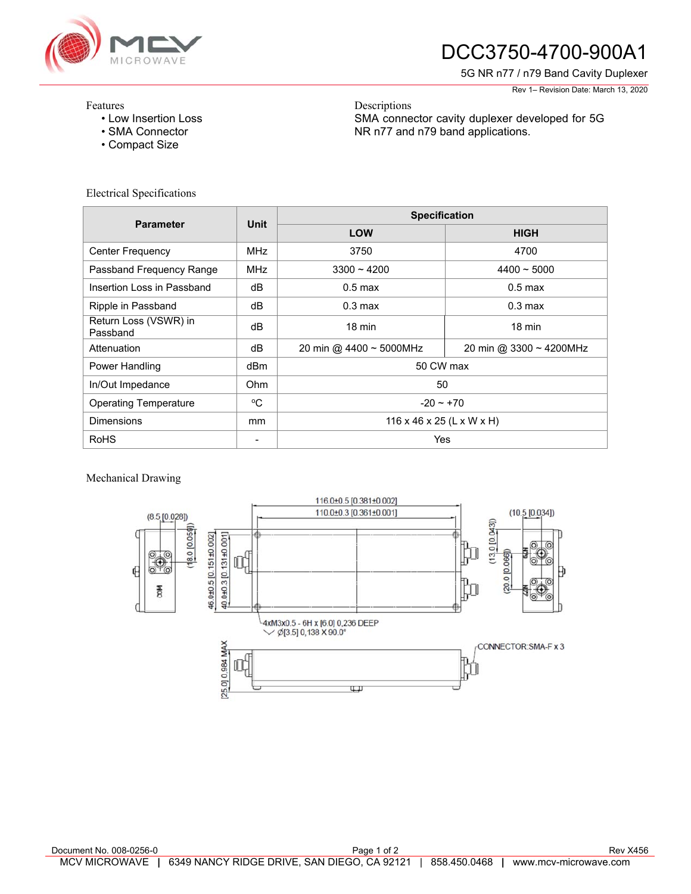

# DCC3750-4700-900A1

SMA connector cavity duplexer developed for 5G

NR n77 and n79 band applications.

5G NR n77 / n79 Band Cavity Duplexer

Rev 1– Revision Date: March 13, 2020

#### Features

- Low Insertion Loss
- SMA Connector
- Compact Size

### Electrical Specifications

| <b>Parameter</b>                  | <b>Unit</b> | <b>Specification</b>      |                         |
|-----------------------------------|-------------|---------------------------|-------------------------|
|                                   |             | <b>LOW</b>                | <b>HIGH</b>             |
| <b>Center Frequency</b>           | MHz         | 3750                      | 4700                    |
| Passband Frequency Range          | <b>MHz</b>  | $3300 - 4200$             | $4400 - 5000$           |
| Insertion Loss in Passband        | dB          | $0.5$ max                 | $0.5$ max               |
| Ripple in Passband                | dB          | $0.3 \text{ max}$         | $0.3 \text{ max}$       |
| Return Loss (VSWR) in<br>Passband | dB          | $18 \text{ min}$          | $18 \text{ min}$        |
| Attenuation                       | dB          | 20 min @ 4400 ~ 5000MHz   | 20 min @ 3300 ~ 4200MHz |
| Power Handling                    | dBm         | 50 CW max                 |                         |
| In/Out Impedance                  | Ohm         | 50                        |                         |
| <b>Operating Temperature</b>      | °C          | $-20 - 70$                |                         |
| <b>Dimensions</b>                 | mm          | 116 x 46 x 25 (L x W x H) |                         |
| <b>RoHS</b>                       |             | Yes                       |                         |

Descriptions

### Mechanical Drawing